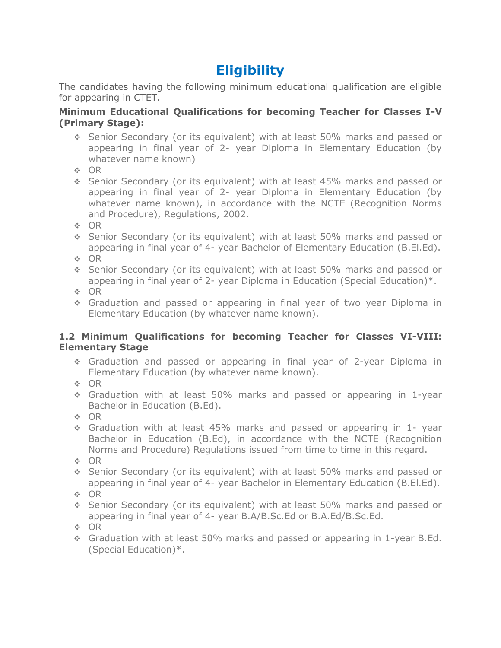## **Eligibility**

The candidates having the following minimum educational qualification are eligible for appearing in CTET.

## **Minimum Educational Qualifications for becoming Teacher for Classes I-V (Primary Stage):**

- Senior Secondary (or its equivalent) with at least 50% marks and passed or appearing in final year of 2- year Diploma in Elementary Education (by whatever name known)
- **⊹ OR**
- Senior Secondary (or its equivalent) with at least 45% marks and passed or appearing in final year of 2- year Diploma in Elementary Education (by whatever name known), in accordance with the NCTE (Recognition Norms and Procedure), Regulations, 2002.
- **⊹ OR**
- Senior Secondary (or its equivalent) with at least 50% marks and passed or appearing in final year of 4- year Bachelor of Elementary Education (B.El.Ed).
- $\div$  OR
- Senior Secondary (or its equivalent) with at least 50% marks and passed or appearing in final year of 2- year Diploma in Education (Special Education)\*.
- **⊹ OR**
- Graduation and passed or appearing in final year of two year Diploma in Elementary Education (by whatever name known).

## **1.2 Minimum Qualifications for becoming Teacher for Classes VI-VIII: Elementary Stage**

- Graduation and passed or appearing in final year of 2-year Diploma in Elementary Education (by whatever name known).
- $\div$  OR
- Graduation with at least 50% marks and passed or appearing in 1-year Bachelor in Education (B.Ed).
- $\div$  OR
- Graduation with at least 45% marks and passed or appearing in 1- year Bachelor in Education (B.Ed), in accordance with the NCTE (Recognition Norms and Procedure) Regulations issued from time to time in this regard.
- **⊹ OR**
- Senior Secondary (or its equivalent) with at least 50% marks and passed or appearing in final year of 4- year Bachelor in Elementary Education (B.El.Ed).
- $\div$  OR
- Senior Secondary (or its equivalent) with at least 50% marks and passed or appearing in final year of 4- year B.A/B.Sc.Ed or B.A.Ed/B.Sc.Ed.
- **⊹ OR**
- Graduation with at least 50% marks and passed or appearing in 1-year B.Ed. (Special Education)\*.